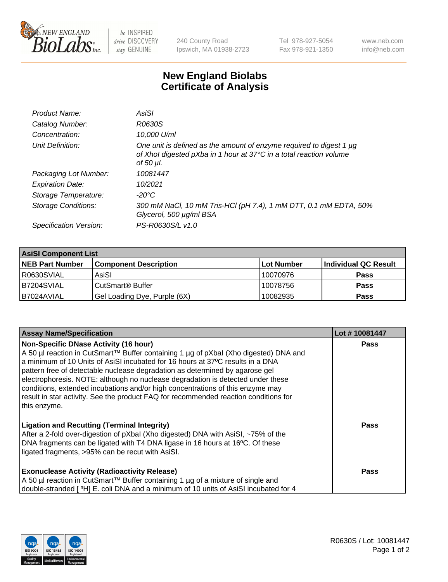

 $be$  INSPIRED drive DISCOVERY stay GENUINE

240 County Road Ipswich, MA 01938-2723 Tel 978-927-5054 Fax 978-921-1350 www.neb.com info@neb.com

## **New England Biolabs Certificate of Analysis**

| Product Name:              | AsiSI                                                                                                                                                  |
|----------------------------|--------------------------------------------------------------------------------------------------------------------------------------------------------|
| Catalog Number:            | R0630S                                                                                                                                                 |
| Concentration:             | 10,000 U/ml                                                                                                                                            |
| Unit Definition:           | One unit is defined as the amount of enzyme required to digest 1 µg<br>of Xhol digested pXba in 1 hour at 37°C in a total reaction volume<br>of 50 µl. |
| Packaging Lot Number:      | 10081447                                                                                                                                               |
| <b>Expiration Date:</b>    | 10/2021                                                                                                                                                |
| Storage Temperature:       | -20°C                                                                                                                                                  |
| <b>Storage Conditions:</b> | 300 mM NaCl, 10 mM Tris-HCl (pH 7.4), 1 mM DTT, 0.1 mM EDTA, 50%<br>Glycerol, 500 µg/ml BSA                                                            |
| Specification Version:     | PS-R0630S/L v1.0                                                                                                                                       |

| <b>AsiSI Component List</b> |                              |             |                      |  |  |
|-----------------------------|------------------------------|-------------|----------------------|--|--|
| <b>NEB Part Number</b>      | <b>Component Description</b> | ∣Lot Number | Individual QC Result |  |  |
| I R0630SVIAL                | AsiSI                        | 10070976    | <b>Pass</b>          |  |  |
| B7204SVIAL                  | CutSmart <sup>®</sup> Buffer | 10078756    | <b>Pass</b>          |  |  |
| B7024AVIAL                  | Gel Loading Dye, Purple (6X) | 10082935    | <b>Pass</b>          |  |  |

| <b>Assay Name/Specification</b>                                                                                                                                                                                                                                                                                                                                                                                                                                                                                                                                                     | Lot #10081447 |
|-------------------------------------------------------------------------------------------------------------------------------------------------------------------------------------------------------------------------------------------------------------------------------------------------------------------------------------------------------------------------------------------------------------------------------------------------------------------------------------------------------------------------------------------------------------------------------------|---------------|
| <b>Non-Specific DNase Activity (16 hour)</b><br>A 50 µl reaction in CutSmart™ Buffer containing 1 µg of pXbal (Xho digested) DNA and<br>a minimum of 10 Units of AsiSI incubated for 16 hours at 37°C results in a DNA<br>pattern free of detectable nuclease degradation as determined by agarose gel<br>electrophoresis. NOTE: although no nuclease degradation is detected under these<br>conditions, extended incubations and/or high concentrations of this enzyme may<br>result in star activity. See the product FAQ for recommended reaction conditions for<br>this enzyme. | <b>Pass</b>   |
| <b>Ligation and Recutting (Terminal Integrity)</b><br>After a 2-fold over-digestion of pXbal (Xho digested) DNA with AsiSI, ~75% of the<br>DNA fragments can be ligated with T4 DNA ligase in 16 hours at 16°C. Of these<br>ligated fragments, >95% can be recut with AsiSI.                                                                                                                                                                                                                                                                                                        | Pass          |
| <b>Exonuclease Activity (Radioactivity Release)</b><br>A 50 µl reaction in CutSmart™ Buffer containing 1 µg of a mixture of single and<br>double-stranded [3H] E. coli DNA and a minimum of 10 units of AsiSI incubated for 4                                                                                                                                                                                                                                                                                                                                                       | Pass          |